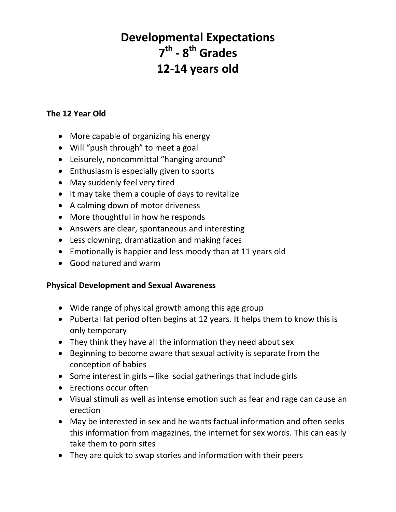# **Developmental Expectations 7 th - 8 th Grades 12-14 years old**

### **The 12 Year Old**

- More capable of organizing his energy
- Will "push through" to meet a goal
- Leisurely, noncommittal "hanging around"
- Enthusiasm is especially given to sports
- May suddenly feel very tired
- It may take them a couple of days to revitalize
- A calming down of motor driveness
- More thoughtful in how he responds
- Answers are clear, spontaneous and interesting
- Less clowning, dramatization and making faces
- Emotionally is happier and less moody than at 11 years old
- Good natured and warm

#### **Physical Development and Sexual Awareness**

- Wide range of physical growth among this age group
- Pubertal fat period often begins at 12 years. It helps them to know this is only temporary
- They think they have all the information they need about sex
- Beginning to become aware that sexual activity is separate from the conception of babies
- Some interest in girls like social gatherings that include girls
- Erections occur often
- Visual stimuli as well as intense emotion such as fear and rage can cause an erection
- May be interested in sex and he wants factual information and often seeks this information from magazines, the internet for sex words. This can easily take them to porn sites
- They are quick to swap stories and information with their peers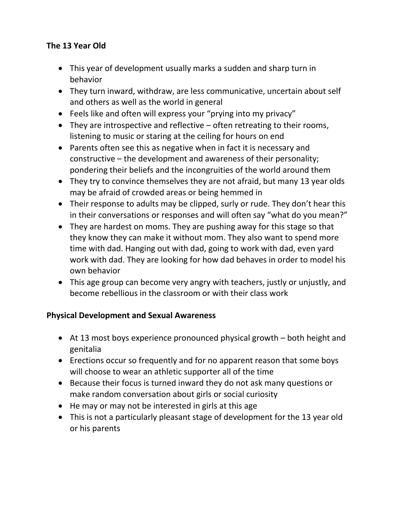## **The 13 Year Old**

- This year of development usually marks a sudden and sharp turn in behavior
- They turn inward, withdraw, are less communicative, uncertain about self and others as well as the world in general
- Feels like and often will express your "prying into my privacy"
- They are introspective and reflective often retreating to their rooms, listening to music or staring at the ceiling for hours on end
- Parents often see this as negative when in fact it is necessary and constructive – the development and awareness of their personality; pondering their beliefs and the incongruities of the world around them
- They try to convince themselves they are not afraid, but many 13 year olds may be afraid of crowded areas or being hemmed in
- Their response to adults may be clipped, surly or rude. They don't hear this in their conversations or responses and will often say "what do you mean?"
- They are hardest on moms. They are pushing away for this stage so that they know they can make it without mom. They also want to spend more time with dad. Hanging out with dad, going to work with dad, even yard work with dad. They are looking for how dad behaves in order to model his own behavior
- This age group can become very angry with teachers, justly or unjustly, and become rebellious in the classroom or with their class work

## **Physical Development and Sexual Awareness**

- At 13 most boys experience pronounced physical growth both height and genitalia
- Erections occur so frequently and for no apparent reason that some boys will choose to wear an athletic supporter all of the time
- Because their focus is turned inward they do not ask many questions or make random conversation about girls or social curiosity
- He may or may not be interested in girls at this age
- This is not a particularly pleasant stage of development for the 13 year old or his parents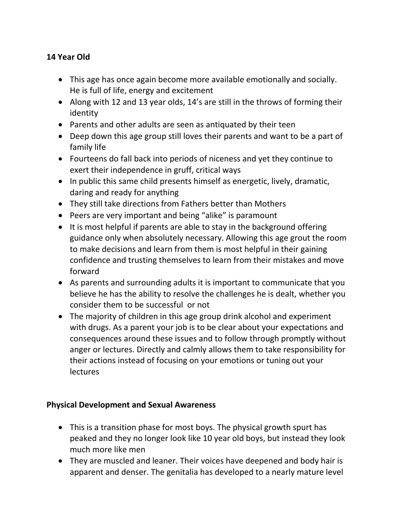## **14 Year Old**

- This age has once again become more available emotionally and socially. He is full of life, energy and excitement
- Along with 12 and 13 year olds, 14's are still in the throws of forming their identity
- Parents and other adults are seen as antiquated by their teen
- Deep down this age group still loves their parents and want to be a part of family life
- Fourteens do fall back into periods of niceness and yet they continue to exert their independence in gruff, critical ways
- In public this same child presents himself as energetic, lively, dramatic, daring and ready for anything
- They still take directions from Fathers better than Mothers
- Peers are very important and being "alike" is paramount
- It is most helpful if parents are able to stay in the background offering guidance only when absolutely necessary. Allowing this age grout the room to make decisions and learn from them is most helpful in their gaining confidence and trusting themselves to learn from their mistakes and move forward
- As parents and surrounding adults it is important to communicate that you believe he has the ability to resolve the challenges he is dealt, whether you consider them to be successful or not
- The majority of children in this age group drink alcohol and experiment with drugs. As a parent your job is to be clear about your expectations and consequences around these issues and to follow through promptly without anger or lectures. Directly and calmly allows them to take responsibility for their actions instead of focusing on your emotions or tuning out your lectures

#### **Physical Development and Sexual Awareness**

- This is a transition phase for most boys. The physical growth spurt has peaked and they no longer look like 10 year old boys, but instead they look much more like men
- They are muscled and leaner. Their voices have deepened and body hair is apparent and denser. The genitalia has developed to a nearly mature level